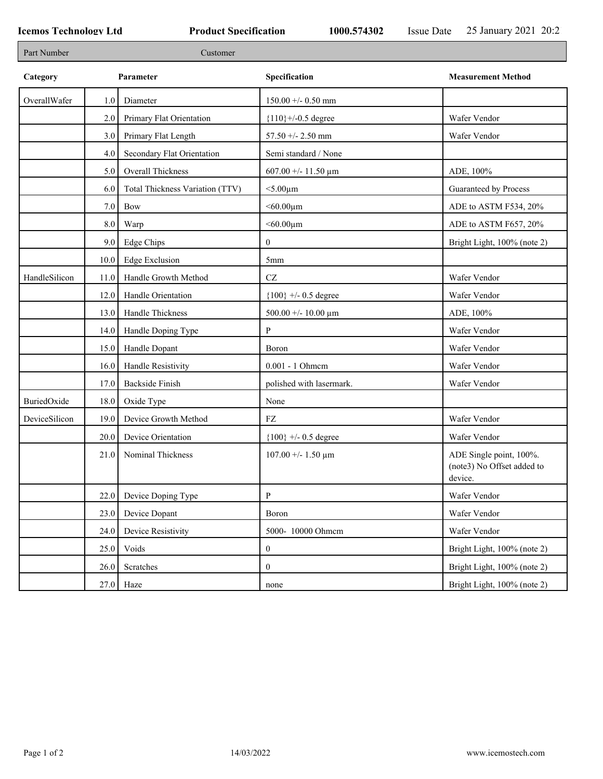| Part Number   |      | Customer                        |                          |                                                                  |
|---------------|------|---------------------------------|--------------------------|------------------------------------------------------------------|
| Category      |      | Parameter                       | Specification            | <b>Measurement Method</b>                                        |
| OverallWafer  | 1.0  | Diameter                        | $150.00 + - 0.50$ mm     |                                                                  |
|               | 2.0  | Primary Flat Orientation        | ${110}$ +/-0.5 degree    | Wafer Vendor                                                     |
|               | 3.0  | Primary Flat Length             | 57.50 +/- 2.50 mm        | Wafer Vendor                                                     |
|               | 4.0  | Secondary Flat Orientation      | Semi standard / None     |                                                                  |
|               | 5.0  | Overall Thickness               | 607.00 +/- 11.50 $\mu$ m | ADE, 100%                                                        |
|               | 6.0  | Total Thickness Variation (TTV) | $<$ 5.00 $\mu$ m         | Guaranteed by Process                                            |
|               | 7.0  | Bow                             | $< 60.00 \mu m$          | ADE to ASTM F534, 20%                                            |
|               | 8.0  | Warp                            | $< 60.00 \mu m$          | ADE to ASTM F657, 20%                                            |
|               | 9.0  | <b>Edge Chips</b>               | $\boldsymbol{0}$         | Bright Light, 100% (note 2)                                      |
|               | 10.0 | <b>Edge Exclusion</b>           | 5mm                      |                                                                  |
| HandleSilicon | 11.0 | Handle Growth Method            | $\operatorname{CZ}$      | Wafer Vendor                                                     |
|               | 12.0 | Handle Orientation              | ${100}$ +/- 0.5 degree   | Wafer Vendor                                                     |
|               | 13.0 | Handle Thickness                | 500.00 +/- 10.00 $\mu$ m | ADE, 100%                                                        |
|               | 14.0 | Handle Doping Type              | P                        | Wafer Vendor                                                     |
|               | 15.0 | Handle Dopant                   | Boron                    | Wafer Vendor                                                     |
|               | 16.0 | Handle Resistivity              | 0.001 - 1 Ohmem          | Wafer Vendor                                                     |
|               | 17.0 | Backside Finish                 | polished with lasermark. | Wafer Vendor                                                     |
| BuriedOxide   | 18.0 | Oxide Type                      | None                     |                                                                  |
| DeviceSilicon | 19.0 | Device Growth Method            | FZ                       | Wafer Vendor                                                     |
|               | 20.0 | Device Orientation              | ${100}$ +/- 0.5 degree   | Wafer Vendor                                                     |
|               | 21.0 | Nominal Thickness               | $107.00 + - 1.50 \mu m$  | ADE Single point, 100%.<br>(note3) No Offset added to<br>device. |
|               | 22.0 | Device Doping Type              | P                        | Wafer Vendor                                                     |
|               | 23.0 | Device Dopant                   | Boron                    | Wafer Vendor                                                     |
|               | 24.0 | Device Resistivity              | 5000-10000 Ohmem         | Wafer Vendor                                                     |
|               | 25.0 | Voids                           | $\boldsymbol{0}$         | Bright Light, 100% (note 2)                                      |
|               | 26.0 | Scratches                       | $\boldsymbol{0}$         | Bright Light, 100% (note 2)                                      |
|               |      | $27.0$ Haze                     | none                     | Bright Light, 100% (note 2)                                      |